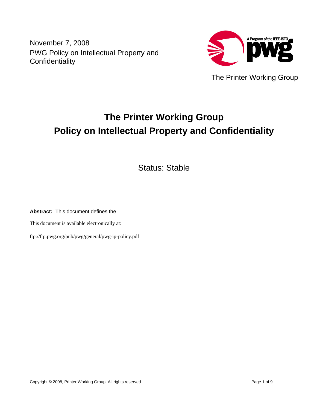November 7, 2008 PWG Policy on Intellectual Property and **Confidentiality** 



The Printer Working Group

# **The Printer Working Group Policy on Intellectual Property and Confidentiality**

Status: Stable

**Abstract:** This document defines the

This document is available electronically at:

ftp://ftp.pwg.org/pub/pwg/general/pwg-ip-policy.pdf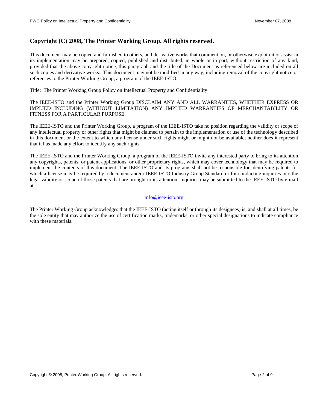## **Copyright (C) 2008, The Printer Working Group. All rights reserved.**

This document may be copied and furnished to others, and derivative works that comment on, or otherwise explain it or assist in its implementation may be prepared, copied, published and distributed, in whole or in part, without restriction of any kind, provided that the above copyright notice, this paragraph and the title of the Document as referenced below are included on all such copies and derivative works. This document may not be modified in any way, including removal of the copyright notice or references to the Printer Working Group, a program of the IEEE-ISTO.

#### Title: The Printer Working Group Policy on Intellectual Property and Confidentiality

The IEEE-ISTO and the Printer Working Group DISCLAIM ANY AND ALL WARRANTIES, WHETHER EXPRESS OR IMPLIED INCLUDING (WITHOUT LIMITATION) ANY IMPLIED WARRANTIES OF MERCHANTABILITY OR FITNESS FOR A PARTICULAR PURPOSE.

The IEEE-ISTO and the Printer Working Group, a program of the IEEE-ISTO take no position regarding the validity or scope of any intellectual property or other rights that might be claimed to pertain to the implementation or use of the technology described in this document or the extent to which any license under such rights might or might not be available; neither does it represent that it has made any effort to identify any such rights.

The IEEE-ISTO and the Printer Working Group, a program of the IEEE-ISTO invite any interested party to bring to its attention any copyrights, patents, or patent applications, or other proprietary rights, which may cover technology that may be required to implement the contents of this document. The IEEE-ISTO and its programs shall not be responsible for identifying patents for which a license may be required by a document and/or IEEE-ISTO Industry Group Standard or for conducting inquiries into the legal validity or scope of those patents that are brought to its attention. Inquiries may be submitted to the IEEE-ISTO by e-mail at:

#### [info@ieee-isto.org](mailto:info@ieee-isto.org)

The Printer Working Group acknowledges that the IEEE-ISTO (acting itself or through its designees) is, and shall at all times, be the sole entity that may authorize the use of certification marks, trademarks, or other special designations to indicate compliance with these materials.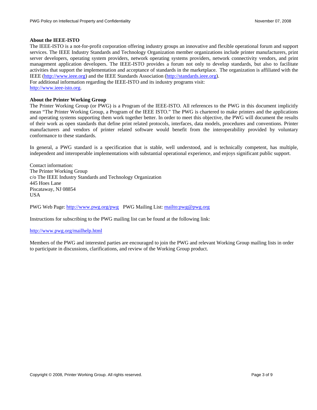#### **About the IEEE-ISTO**

The IEEE-ISTO is a not-for-profit corporation offering industry groups an innovative and flexible operational forum and support services. The IEEE Industry Standards and Technology Organization member organizations include printer manufacturers, print server developers, operating system providers, network operating systems providers, network connectivity vendors, and print management application developers. The IEEE-ISTO provides a forum not only to develop standards, but also to facilitate activities that support the implementation and acceptance of standards in the marketplace. The organization is affiliated with the IEEE [\(http://www.ieee.org](http://www.ieee.org/)) and the IEEE Standards Association ([http://standards.ieee.org\)](http://standards.ieee.org/). For additional information regarding the IEEE-ISTO and its industry programs visit:

# [http://www.ieee-isto.org](http://www.ieee-isto.org/).

#### **About the Printer Working Group**

The Printer Working Group (or PWG) is a Program of the IEEE-ISTO. All references to the PWG in this document implicitly mean "The Printer Working Group, a Program of the IEEE ISTO." The PWG is chartered to make printers and the applications and operating systems supporting them work together better. In order to meet this objective, the PWG will document the results of their work as open standards that define print related protocols, interfaces, data models, procedures and conventions. Printer manufacturers and vendors of printer related software would benefit from the interoperability provided by voluntary conformance to these standards.

In general, a PWG standard is a specification that is stable, well understood, and is technically competent, has multiple, independent and interoperable implementations with substantial operational experience, and enjoys significant public support.

Contact information: The Printer Working Group c/o The IEEE Industry Standards and Technology Organization 445 Hoes Lane Piscataway, NJ 08854 USA

PWG Web Page:<http://www.pwg.org/pwg> PWG Mailing List:<mailto:pwg@pwg.org>

Instructions for subscribing to the PWG mailing list can be found at the following link:

#### <http://www.pwg.org/mailhelp.html>

Members of the PWG and interested parties are encouraged to join the PWG and relevant Working Group mailing lists in order to participate in discussions, clarifications, and review of the Working Group product.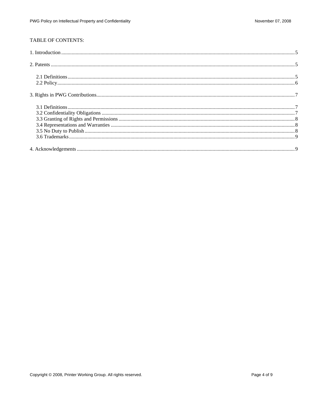#### TABLE OF CONTENTS: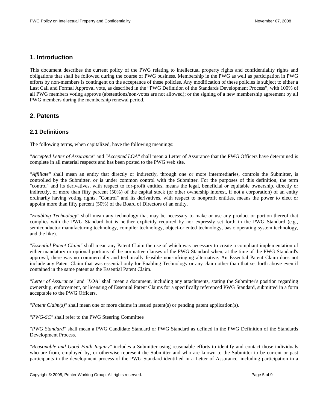# <span id="page-4-0"></span>**1. Introduction**

This document describes the current policy of the PWG relating to intellectual property rights and confidentiality rights and obligations that shall be followed during the course of PWG business. Membership in the PWG as well as participation in PWG efforts by non-members is contingent on the acceptance of these policies. Any modification of these policies is subject to either a Last Call and Formal Approval vote, as described in the "PWG Definition of the Standards Development Process", with 100% of all PWG members voting approve (abstentions/non-votes are not allowed); or the signing of a new membership agreement by all PWG members during the membership renewal period.

### **2. Patents**

#### **2.1 Definitions**

The following terms, when capitalized, have the following meanings:

*"Accepted Letter of Assurance"* and *"Accepted LOA"* shall mean a Letter of Assurance that the PWG Officers have determined is complete in all material respects and has been posted to the PWG web site.

*"Affiliate"* shall mean an entity that directly or indirectly, through one or more intermediaries, controls the Submitter, is controlled by the Submitter, or is under common control with the Submitter. For the purposes of this definition, the term "control" and its derivatives, with respect to for-profit entities, means the legal, beneficial or equitable ownership, directly or indirectly, of more than fifty percent (50%) of the capital stock (or other ownership interest, if not a corporation) of an entity ordinarily having voting rights. "Control" and its derivatives, with respect to nonprofit entities, means the power to elect or appoint more than fifty percent (50%) of the Board of Directors of an entity.

*"Enabling Technology"* shall mean any technology that may be necessary to make or use any product or portion thereof that complies with the PWG Standard but is neither explicitly required by nor expressly set forth in the PWG Standard (e.g., semiconductor manufacturing technology, compiler technology, object-oriented technology, basic operating system technology, and the like).

*"Essential Patent Claim"* shall mean any Patent Claim the use of which was necessary to create a compliant implementation of either mandatory or optional portions of the normative clauses of the PWG Standard when, at the time of the PWG Standard's approval, there was no commercially and technically feasible non-infringing alternative. An Essential Patent Claim does not include any Patent Claim that was essential only for Enabling Technology or any claim other than that set forth above even if contained in the same patent as the Essential Patent Claim.

*"Letter of Assurance"* and *"LOA"* shall mean a document, including any attachments, stating the Submitter's position regarding ownership, enforcement, or licensing of Essential Patent Claims for a specifically referenced PWG Standard, submitted in a form acceptable to the PWG Officers.

*"Patent Claim(s)"* shall mean one or more claims in issued patent(s) or pending patent application(s).

*"PWG-SC"* shall refer to the PWG Steering Committee

*"PWG Standard"* shall mean a PWG Candidate Standard or PWG Standard as defined in the PWG Definition of the Standards Development Process.

*"Reasonable and Good Faith Inquiry"* includes a Submitter using reasonable efforts to identify and contact those individuals who are from, employed by, or otherwise represent the Submitter and who are known to the Submitter to be current or past participants in the development process of the PWG Standard identified in a Letter of Assurance, including participation in a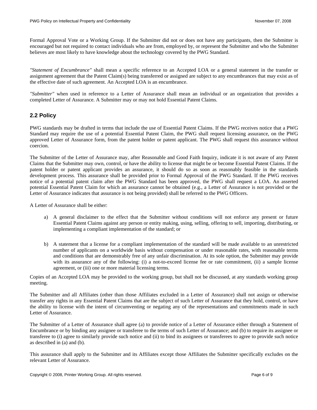<span id="page-5-0"></span>Formal Approval Vote or a Working Group. If the Submitter did not or does not have any participants, then the Submitter is encouraged but not required to contact individuals who are from, employed by, or represent the Submitter and who the Submitter believes are most likely to have knowledge about the technology covered by the PWG Standard.

*"Statement of Encumbrance"* shall mean a specific reference to an Accepted LOA or a general statement in the transfer or assignment agreement that the Patent Claim(s) being transferred or assigned are subject to any encumbrances that may exist as of the effective date of such agreement. An Accepted LOA is an encumbrance.

*"Submitter"* when used in reference to a Letter of Assurance shall mean an individual or an organization that provides a completed Letter of Assurance. A Submitter may or may not hold Essential Patent Claims.

#### **2.2 Policy**

PWG standards may be drafted in terms that include the use of Essential Patent Claims. If the PWG receives notice that a PWG Standard may require the use of a potential Essential Patent Claim, the PWG shall request licensing assurance, on the PWG approved Letter of Assurance form, from the patent holder or patent applicant. The PWG shall request this assurance without coercion.

The Submitter of the Letter of Assurance may, after Reasonable and Good Faith Inquiry, indicate it is not aware of any Patent Claims that the Submitter may own, control, or have the ability to license that might be or become Essential Patent Claims. If the patent holder or patent applicant provides an assurance, it should do so as soon as reasonably feasible in the standards development process. This assurance shall be provided prior to Formal Approval of the PWG Standard. If the PWG receives notice of a potential patent claim after the PWG Standard has been approved, the PWG shall request a LOA. An asserted potential Essential Patent Claim for which an assurance cannot be obtained (e.g., a Letter of Assurance is not provided or the Letter of Assurance indicates that assurance is not being provided) shall be referred to the PWG Officers.

A Letter of Assurance shall be either:

- a) A general disclaimer to the effect that the Submitter without conditions will not enforce any present or future Essential Patent Claims against any person or entity making, using, selling, offering to sell, importing, distributing, or implementing a compliant implementation of the standard; or
- b) A statement that a license for a compliant implementation of the standard will be made available to an unrestricted number of applicants on a worldwide basis without compensation or under reasonable rates, with reasonable terms and conditions that are demonstrably free of any unfair discrimination. At its sole option, the Submitter may provide with its assurance any of the following: (i) a not-to-exceed license fee or rate commitment, (ii) a sample license agreement, or (iii) one or more material licensing terms.

Copies of an Accepted LOA may be provided to the working group, but shall not be discussed, at any standards working group meeting.

The Submitter and all Affiliates (other than those Affiliates excluded in a Letter of Assurance) shall not assign or otherwise transfer any rights in any Essential Patent Claims that are the subject of such Letter of Assurance that they hold, control, or have the ability to license with the intent of circumventing or negating any of the representations and commitments made in such Letter of Assurance.

The Submitter of a Letter of Assurance shall agree (a) to provide notice of a Letter of Assurance either through a Statement of Encumbrance or by binding any assignee or transferee to the terms of such Letter of Assurance; and (b) to require its assignee or transferee to (i) agree to similarly provide such notice and (ii) to bind its assignees or transferees to agree to provide such notice as described in (a) and (b).

This assurance shall apply to the Submitter and its Affiliates except those Affiliates the Submitter specifically excludes on the relevant Letter of Assurance.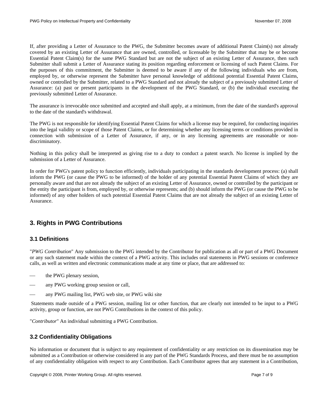<span id="page-6-0"></span>If, after providing a Letter of Assurance to the PWG, the Submitter becomes aware of additional Patent Claim(s) not already covered by an existing Letter of Assurance that are owned, controlled, or licensable by the Submitter that may be or become Essential Patent Claim(s) for the same PWG Standard but are not the subject of an existing Letter of Assurance, then such Submitter shall submit a Letter of Assurance stating its position regarding enforcement or licensing of such Patent Claims. For the purposes of this commitment, the Submitter is deemed to be aware if any of the following individuals who are from, employed by, or otherwise represent the Submitter have personal knowledge of additional potential Essential Patent Claims, owned or controlled by the Submitter, related to a PWG Standard and not already the subject of a previously submitted Letter of Assurance: (a) past or present participants in the development of the PWG Standard, or (b) the individual executing the previously submitted Letter of Assurance.

The assurance is irrevocable once submitted and accepted and shall apply, at a minimum, from the date of the standard's approval to the date of the standard's withdrawal.

The PWG is not responsible for identifying Essential Patent Claims for which a license may be required, for conducting inquiries into the legal validity or scope of those Patent Claims, or for determining whether any licensing terms or conditions provided in connection with submission of a Letter of Assurance, if any, or in any licensing agreements are reasonable or nondiscriminatory.

Nothing in this policy shall be interpreted as giving rise to a duty to conduct a patent search. No license is implied by the submission of a Letter of Assurance.

In order for PWG's patent policy to function efficiently, individuals participating in the standards development process: (a) shall inform the PWG (or cause the PWG to be informed) of the holder of any potential Essential Patent Claims of which they are personally aware and that are not already the subject of an existing Letter of Assurance, owned or controlled by the participant or the entity the participant is from, employed by, or otherwise represents; and (b) should inform the PWG (or cause the PWG to be informed) of any other holders of such potential Essential Patent Claims that are not already the subject of an existing Letter of Assurance.

# **3. Rights in PWG Contributions**

#### **3.1 Definitions**

"*PWG Contribution*" Any submission to the PWG intended by the Contributor for publication as all or part of a PWG Document or any such statement made within the context of a PWG activity. This includes oral statements in PWG sessions or conference calls, as well as written and electronic communications made at any time or place, that are addressed to:

- the PWG plenary session,
- any PWG working group session or call,
- any PWG mailing list, PWG web site, or PWG wiki site

 Statements made outside of a PWG session, mailing list or other function, that are clearly not intended to be input to a PWG activity, group or function, are not PWG Contributions in the context of this policy.

"*Contributor*" An individual submitting a PWG Contribution.

#### **3.2 Confidentiality Obligations**

No information or document that is subject to any requirement of confidentiality or any restriction on its dissemination may be submitted as a Contribution or otherwise considered in any part of the PWG Standards Process, and there must be no assumption of any confidentiality obligation with respect to any Contribution. Each Contributor agrees that any statement in a Contribution,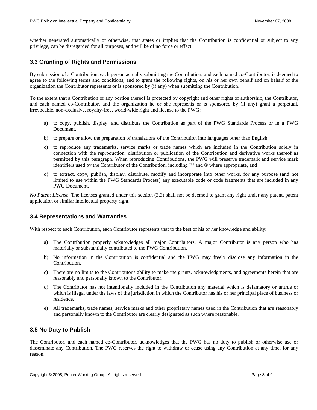<span id="page-7-0"></span>whether generated automatically or otherwise, that states or implies that the Contribution is confidential or subject to any privilege, can be disregarded for all purposes, and will be of no force or effect.

#### <span id="page-7-1"></span>**3.3 Granting of Rights and Permissions**

By submission of a Contribution, each person actually submitting the Contribution, and each named co-Contributor, is deemed to agree to the following terms and conditions, and to grant the following rights, on his or her own behalf and on behalf of the organization the Contributor represents or is sponsored by (if any) when submitting the Contribution.

To the extent that a Contribution or any portion thereof is protected by copyright and other rights of authorship, the Contributor, and each named co-Contributor, and the organization he or she represents or is sponsored by (if any) grant a perpetual, irrevocable, non-exclusive, royalty-free, world-wide right and license to the PWG:

- a) to copy, publish, display, and distribute the Contribution as part of the PWG Standards Process or in a PWG Document,
- b) to prepare or allow the preparation of translations of the Contribution into languages other than English,
- c) to reproduce any trademarks, service marks or trade names which are included in the Contribution solely in connection with the reproduction, distribution or publication of the Contribution and derivative works thereof as permitted by this paragraph. When reproducing Contributions, the PWG will preserve trademark and service mark identifiers used by the Contributor of the Contribution, including ™ and  $\circledR$  where appropriate, and
- d) to extract, copy, publish, display, distribute, modify and incorporate into other works, for any purpose (and not limited to use within the PWG Standards Process) any executable code or code fragments that are included in any PWG Document.

*No Patent License*. The licenses granted under this section ([3.3](#page-7-1)) shall not be deemed to grant any right under any patent, patent application or similar intellectual property right.

#### **3.4 Representations and Warranties**

With respect to each Contribution, each Contributor represents that to the best of his or her knowledge and ability:

- a) The Contribution properly acknowledges all major Contributors. A major Contributor is any person who has materially or substantially contributed to the PWG Contribution.
- b) No information in the Contribution is confidential and the PWG may freely disclose any information in the Contribution.
- c) There are no limits to the Contributor's ability to make the grants, acknowledgments, and agreements herein that are reasonably and personally known to the Contributor.
- d) The Contributor has not intentionally included in the Contribution any material which is defamatory or untrue or which is illegal under the laws of the jurisdiction in which the Contributor has his or her principal place of business or residence.
- e) All trademarks, trade names, service marks and other proprietary names used in the Contribution that are reasonably and personally known to the Contributor are clearly designated as such where reasonable.

#### **3.5 No Duty to Publish**

The Contributor, and each named co-Contributor, acknowledges that the PWG has no duty to publish or otherwise use or disseminate any Contribution. The PWG reserves the right to withdraw or cease using any Contribution at any time, for any reason.